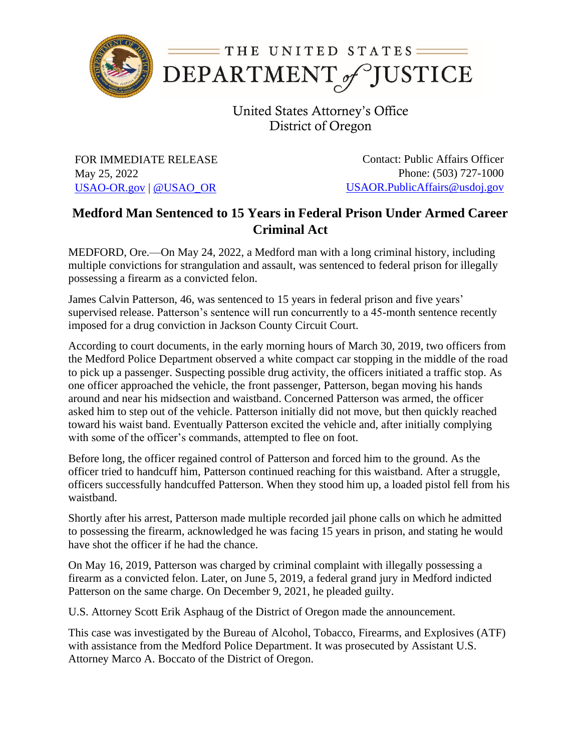

United States Attorney's Office District of Oregon

FOR IMMEDIATE RELEASE May 25, 2022 [USAO-OR.gov](http://www.usdoj.gov/usao/or) | [@USAO\\_OR](https://twitter.com/USAO_OR)

Contact: Public Affairs Officer Phone: (503) 727-1000 [USAOR.PublicAffairs@usdoj.gov](mailto:usaor.publicaffairs@usdoj.gov)

## **Medford Man Sentenced to 15 Years in Federal Prison Under Armed Career Criminal Act**

MEDFORD, Ore.—On May 24, 2022, a Medford man with a long criminal history, including multiple convictions for strangulation and assault, was sentenced to federal prison for illegally possessing a firearm as a convicted felon.

James Calvin Patterson, 46, was sentenced to 15 years in federal prison and five years' supervised release. Patterson's sentence will run concurrently to a 45-month sentence recently imposed for a drug conviction in Jackson County Circuit Court.

According to court documents, in the early morning hours of March 30, 2019, two officers from the Medford Police Department observed a white compact car stopping in the middle of the road to pick up a passenger. Suspecting possible drug activity, the officers initiated a traffic stop. As one officer approached the vehicle, the front passenger, Patterson, began moving his hands around and near his midsection and waistband. Concerned Patterson was armed, the officer asked him to step out of the vehicle. Patterson initially did not move, but then quickly reached toward his waist band. Eventually Patterson excited the vehicle and, after initially complying with some of the officer's commands, attempted to flee on foot.

Before long, the officer regained control of Patterson and forced him to the ground. As the officer tried to handcuff him, Patterson continued reaching for this waistband. After a struggle, officers successfully handcuffed Patterson. When they stood him up, a loaded pistol fell from his waistband.

Shortly after his arrest, Patterson made multiple recorded jail phone calls on which he admitted to possessing the firearm, acknowledged he was facing 15 years in prison, and stating he would have shot the officer if he had the chance.

On May 16, 2019, Patterson was charged by criminal complaint with illegally possessing a firearm as a convicted felon. Later, on June 5, 2019, a federal grand jury in Medford indicted Patterson on the same charge. On December 9, 2021, he pleaded guilty.

U.S. Attorney Scott Erik Asphaug of the District of Oregon made the announcement.

This case was investigated by the Bureau of Alcohol, Tobacco, Firearms, and Explosives (ATF) with assistance from the Medford Police Department. It was prosecuted by Assistant U.S. Attorney Marco A. Boccato of the District of Oregon.